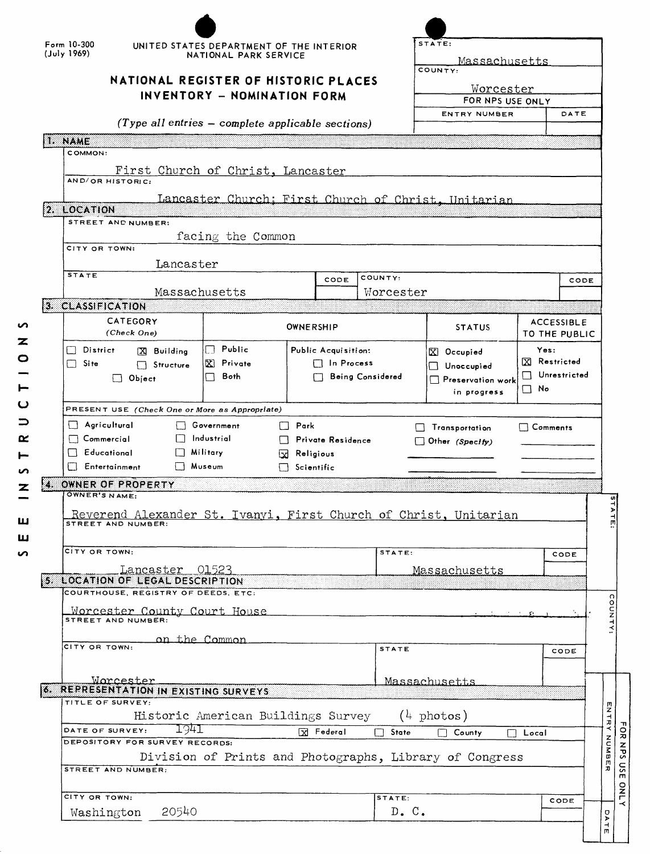|      | Form 10-300<br>(July 1969)                                                                                                                                                                                                                                                                                                 | UNITED STATES DEPARTMENT OF THE INTERIOR<br>NATIONAL PARK SERVICE<br>NATIONAL REGISTER OF HISTORIC PLACES<br>INVENTORY - NOMINATION FORM |                                          |                  | STATE:<br>Massachusetts<br>COUNTY:<br><u>Worcester</u><br>FOR NPS USE ONLY |                                                              |                                    |  |  |  |
|------|----------------------------------------------------------------------------------------------------------------------------------------------------------------------------------------------------------------------------------------------------------------------------------------------------------------------------|------------------------------------------------------------------------------------------------------------------------------------------|------------------------------------------|------------------|----------------------------------------------------------------------------|--------------------------------------------------------------|------------------------------------|--|--|--|
|      |                                                                                                                                                                                                                                                                                                                            | $(Type all entries - complete applicable sections)$                                                                                      |                                          |                  | <b>ENTRY NUMBER</b>                                                        |                                                              | DATE                               |  |  |  |
|      | 1. NAME                                                                                                                                                                                                                                                                                                                    |                                                                                                                                          |                                          |                  |                                                                            |                                                              |                                    |  |  |  |
|      | COMMON:<br>AND/OR HISTORIC:<br>2. LOCATION                                                                                                                                                                                                                                                                                 | First Church of Christ, Lancaster                                                                                                        |                                          |                  | Lancaster Church: First Church of Christ, Unitarian                        |                                                              |                                    |  |  |  |
|      | STREET AND NUMBER:                                                                                                                                                                                                                                                                                                         | facing the Common                                                                                                                        |                                          |                  |                                                                            |                                                              |                                    |  |  |  |
|      | CITY OR TOWN:                                                                                                                                                                                                                                                                                                              |                                                                                                                                          |                                          |                  |                                                                            |                                                              |                                    |  |  |  |
|      | Lancaster<br><b>STATE</b>                                                                                                                                                                                                                                                                                                  |                                                                                                                                          |                                          | COUNTY:          |                                                                            |                                                              |                                    |  |  |  |
|      |                                                                                                                                                                                                                                                                                                                            | Massachusetts                                                                                                                            | CODE                                     | Worcester        |                                                                            |                                                              | CODE                               |  |  |  |
|      | 3. CLASSIFICATION                                                                                                                                                                                                                                                                                                          |                                                                                                                                          |                                          |                  |                                                                            |                                                              |                                    |  |  |  |
|      | CATEGORY<br>(Check One)                                                                                                                                                                                                                                                                                                    |                                                                                                                                          | OWNERSHIP                                |                  | <b>STATUS</b>                                                              |                                                              | <b>ACCESSIBLE</b><br>TO THE PUBLIC |  |  |  |
|      | District<br>X Building<br>Site<br>$\left  \quad \right $<br>Structure<br>$\Box$ Object                                                                                                                                                                                                                                     | $\Box$ Public<br>Œ.<br>Private<br>Both<br>l I                                                                                            | Public Acquisition:<br>$\Box$ In Process | Being Considered | $X$ Occupied<br>Unoccupied<br>Preservation work<br>in progress             | Yes:<br>区 Restricted<br>Unrestricted<br>$\vert \ \ \vert$ No |                                    |  |  |  |
|      | PRESENT USE (Check One or More as Appropriate)                                                                                                                                                                                                                                                                             |                                                                                                                                          |                                          |                  |                                                                            |                                                              |                                    |  |  |  |
|      | $\Box$ Agricultural<br>Government<br>$\Box$ Park<br>Comments<br>$\Box$ Transportation<br>Industrial<br>$\Box$ Commercial<br>□ Private Residence<br>$\Box$ Other (Specify)<br>$\Box$ Educational<br>Military<br>Religious<br>Ŀхł<br><b>Nuseum</b><br>$\Box$ Entertainment<br>$\Box$ Scientific<br>OWNER OF PROPERTY<br>3333 |                                                                                                                                          |                                          |                  |                                                                            |                                                              |                                    |  |  |  |
| X SS |                                                                                                                                                                                                                                                                                                                            |                                                                                                                                          |                                          |                  |                                                                            |                                                              |                                    |  |  |  |
|      | OWNER'S NAME:<br>Reverend Alexander St. Ivanyi, First Church of Christ, Unitarian<br>STREET AND NUMBER:                                                                                                                                                                                                                    |                                                                                                                                          |                                          |                  |                                                                            |                                                              |                                    |  |  |  |
|      | CITY OR TOWN:                                                                                                                                                                                                                                                                                                              |                                                                                                                                          |                                          | STATE:           |                                                                            |                                                              | CODE                               |  |  |  |
|      | Lancaster 01523                                                                                                                                                                                                                                                                                                            |                                                                                                                                          |                                          |                  | Massachusetts                                                              |                                                              |                                    |  |  |  |
|      | 5. LOCATION OF LEGAL DESCRIPTION                                                                                                                                                                                                                                                                                           |                                                                                                                                          |                                          |                  |                                                                            |                                                              |                                    |  |  |  |
|      | COURTHOUSE, REGISTRY OF DEEDS, ETC:<br>Worcester County Court House<br>STREET AND NUMBER:                                                                                                                                                                                                                                  |                                                                                                                                          |                                          |                  |                                                                            |                                                              |                                    |  |  |  |
|      | CITY OR TOWN:                                                                                                                                                                                                                                                                                                              | on the Common                                                                                                                            |                                          | <b>STATE</b>     |                                                                            |                                                              | CODE                               |  |  |  |
|      | Worcester<br>REPRESENTATION IN EXISTING SURVEYS<br>TITLE OF SURVEY:                                                                                                                                                                                                                                                        |                                                                                                                                          |                                          |                  | Massachusetts                                                              |                                                              |                                    |  |  |  |
|      |                                                                                                                                                                                                                                                                                                                            | Historic American Buildings Survey                                                                                                       |                                          |                  | $(4 \text{ photos})$                                                       |                                                              |                                    |  |  |  |
|      | 1941<br>DATE OF SURVEY:<br>DEPOSITORY FOR SURVEY RECORDS:                                                                                                                                                                                                                                                                  |                                                                                                                                          | X Federal                                | П<br>State       | County<br>Division of Prints and Photographs, Library of Congress          | $\Box$ Local                                                 |                                    |  |  |  |
|      | STREET AND NUMBER:                                                                                                                                                                                                                                                                                                         |                                                                                                                                          |                                          |                  |                                                                            |                                                              |                                    |  |  |  |
| 6. C | CITY OR TOWN:                                                                                                                                                                                                                                                                                                              |                                                                                                                                          |                                          | STATE:           |                                                                            |                                                              | CODE                               |  |  |  |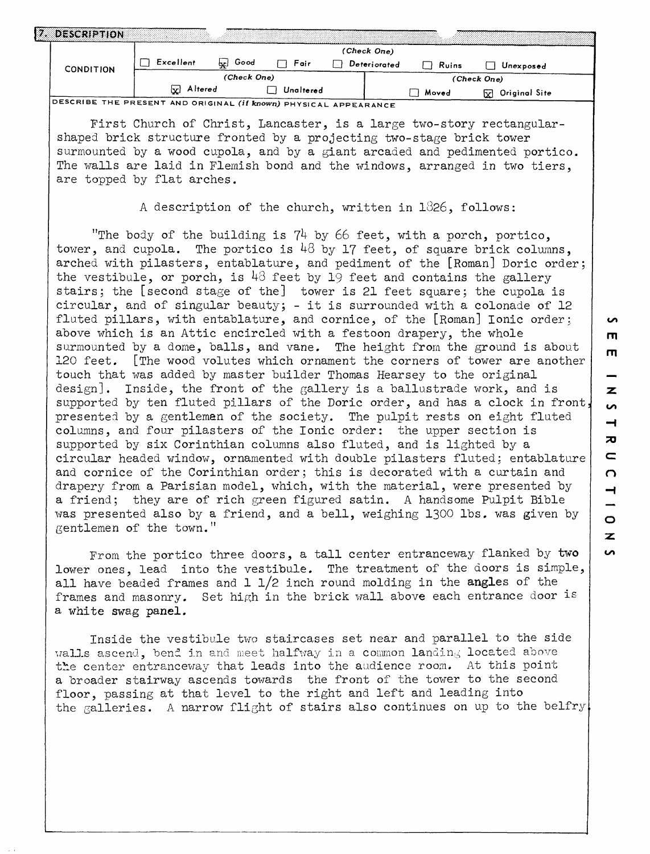|           |                  | (Check One) |           |              |       |                               |  |  |
|-----------|------------------|-------------|-----------|--------------|-------|-------------------------------|--|--|
| CONDITION | Excellent        | Good<br>اعط | Fair      | Deteriorated | Ruins | Unexposed                     |  |  |
|           |                  | (Check One) |           |              |       | (Check One)                   |  |  |
|           | <b>W</b> Altered |             | Unaltered |              | Moved | Original Site<br>$\mathbf{x}$ |  |  |

First Church of Christ, Lancaster, is a large two-story rectangularshaped brick structure fronted by a projecting two-stage brick tower surmounted by a wood cupola, and by a giant arcaded and pedimented portico. The walls are laid in Flemish bond and the windows, arranged in two tiers, are topped by flat arches.

A description of the church, written in 1326, follows:

"The body of the building is  $74$  by 66 feet, with a porch, portico, tower, and cupola. The portico is  $48$  by 17 feet, of square brick columns, arched with pilasters, entablature, and pediment of the [Roman] Doric order; the vestibule, or porch, is  $43$  feet by 19 feet and contains the gallery stairs; the [second stage of the] tower is 21 feet square; the cupola is circular, and of singular beauty;  $-$  it is surrounded with a colonade of 12 fluted pillars, with entablature, and cornice, of the [Roman] Ionic order; above which is an Attic encircled with a festoon drapery, the whole surmounted by a dome, balls, and vane. The height from the ground is about 120 feet. [The wood volutes which ornament the corners of tower are another touch that was added by master builder Thomas Hearsey to the original design]. Inside, the front of the gallery is a ballustrade work, and is supported by ten fluted pillars of the Doric order, and has a clock in front, presented by a gentleman of the society. The pulpit rests on eight fluted columns, and four pilasters of the Ionic order: the upper section is supported by six Corinthian columns also fluted, and is lighted by a circular headed window, ornamented with double pilasters fluted: entablature and cornice of the Corinthian order; this is decorated with a curtain and drapery from a Parisian model, which, with the material, were presented by a friend; they are of rich green figured satin. A handsome Pulpit Bible was presented also by a friend, and a bell, weighing 1300 Ibs. was given by gentlemen of the town."

From the portico three doors, a tall center entranceway flanked by two lower ones, lead into the vestibule. The treatment of the doors is simple, all have beaded frames and  $1 \frac{1}{2}$  inch round molding in the angles of the frames and masonry. Set high in the brick wall above each entrance door is a white swag panel.

Inside the vestibule two staircases set near and parallel to the side walls ascend, bend in and meet halfway in a common landing located above the center entranceway that leads into the audience room. At this point a broader stairway ascends towards the front of the tower to the second floor, passing at that level to the right and left and leading into the galleries. A narrow flight of stairs also continues on up to the belfry  $\sim$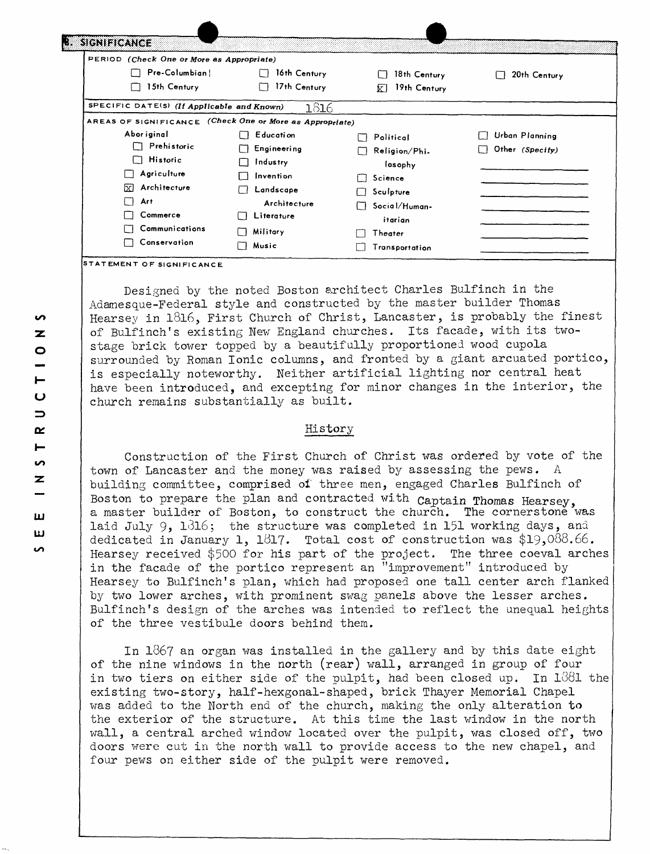| PERIOD (Check One or More as Appropriate)                |                          |                    |                 |
|----------------------------------------------------------|--------------------------|--------------------|-----------------|
| Pre-Columbian!                                           | 16th Century<br>П        | 18th Century       | 20th Century    |
| 15th Century                                             | 17th Century<br>$\cdots$ | 19th Century<br>kТ |                 |
| SPECIFIC DATE(S) (If Applicable and Known)               | 1816                     |                    |                 |
| AREAS OF SIGNIFICANCE (Check One or More as Appropriate) |                          |                    |                 |
| Abor iginal                                              | <b>Education</b>         | Political          | Urban Planning  |
| Prehistoric                                              | Engineering              | Religion/Phi.      | Other (Specify) |
| <b>Historic</b><br>$\mathsf{L}$                          | Industry                 | losophy            |                 |
| Agriculture                                              | Invention                | Science            |                 |
| Architecture<br>ГxТ                                      | Landscape                | Sculpture          |                 |
| Art                                                      | Architecture             | Social/Human-      |                 |
| Commerce                                                 | Literature<br>U          | itarian            |                 |
| Communications                                           | Military                 | Theater            |                 |
| Conservation                                             | Music<br>ΙÌ              | Transportation     |                 |

Designed by the noted Boston architect Charles Bulfinch in the Adamesque-Federal style and constructed by the master builder Thomas Hearsey in 1816, First Church of Christ, Lancaster, is probably the finest of Bulfinch's existing New England churches. Its facade, with its twostage brick tower topped by a beautifully proportioned wood cupola surrounded by Roman Ionic columns, and fronted by a giant arcuated portico, is especially noteworthy. Neither artificial lighting nor central heat have been introduced, and excepting for minor changes in the interior, the church remains substantially as built.

# History

Construction of the First Church of Christ was ordered by vote of the town of Lancaster and the money was raised by assessing the pews. A building committee, comprised ol three men, engaged Charles Bulfinch of Boston to prepare the plan and contracted with captain Thomas Hearsey, a master builder of Boston, to construct the church. The cornerstone was laid July 9,  $1\delta16$ ; the structure was completed in 151 working days, and dedicated in January 1, 1817. Total cost of construction was  $$19,088.66$ . Hearsey received \$500 for his part of the project. The three coeval arches in the facade of the portico represent an "improvement" introduced by Hearsey to Bulfinch's plan, which had proposed one tall center arch flanked by two lower arches, with prominent swag panels above the lesser arches. Bulfinch's design of the arches was intended to reflect the unequal heights of the three vestibule doors behind them.

In 1867 an organ was installed in the gallery and by this date eight of the nine windows in the north (rear) wall, arranged in group of four in two tiers on either side of the pulpit, had been closed up. In 1381 the existing two-story, half-hexgonal-shaped, brick Thayer Memorial Chapel was added to the North end of the church, making the only alteration **to**  the exterior of the structure. At this time the last window in the north wall, a central arched window located over the pulpit, was closed off, two doors were cut in the north wall to provide access to the new chapel, and four pews on either side of the pulpit were removed.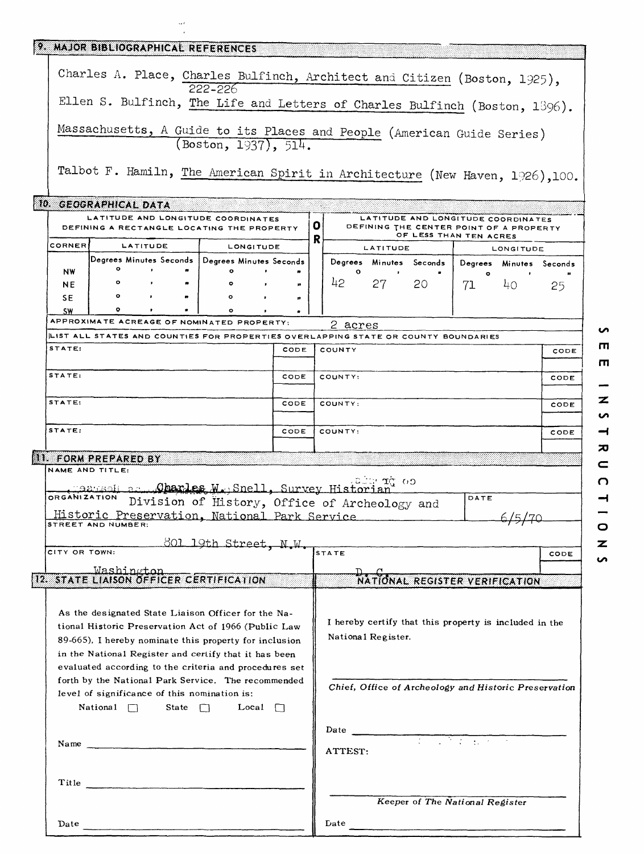|                                                                                                                                                                                                                                | 9. MAJOR BIBLIOGRAPHICAL REFERENCES |  |                                                                                    |      |                                                       |                                                                              |                      |                                                                                                         |           |                         |      |
|--------------------------------------------------------------------------------------------------------------------------------------------------------------------------------------------------------------------------------|-------------------------------------|--|------------------------------------------------------------------------------------|------|-------------------------------------------------------|------------------------------------------------------------------------------|----------------------|---------------------------------------------------------------------------------------------------------|-----------|-------------------------|------|
| Charles A. Place, Charles Bulfinch, Architect and Citizen (Boston, 1925),                                                                                                                                                      |                                     |  |                                                                                    |      |                                                       |                                                                              |                      |                                                                                                         |           |                         |      |
| 222-226<br>Ellen S. Bulfinch, The Life and Letters of Charles Bulfinch (Boston, 1396).                                                                                                                                         |                                     |  |                                                                                    |      |                                                       |                                                                              |                      |                                                                                                         |           |                         |      |
|                                                                                                                                                                                                                                |                                     |  |                                                                                    |      |                                                       |                                                                              |                      |                                                                                                         |           |                         |      |
| Massachusetts, A Guide to its Places and People (American Guide Series)<br>(Boston, 1937), 514.                                                                                                                                |                                     |  |                                                                                    |      |                                                       |                                                                              |                      |                                                                                                         |           |                         |      |
|                                                                                                                                                                                                                                |                                     |  | Talbot F. Hamiln, The American Spirit in Architecture (New Haven, 1926), 100.      |      |                                                       |                                                                              |                      |                                                                                                         |           |                         |      |
|                                                                                                                                                                                                                                | 10. GEOGRAPHICAL DATA               |  |                                                                                    |      |                                                       |                                                                              |                      |                                                                                                         |           |                         |      |
|                                                                                                                                                                                                                                |                                     |  | LATITUDE AND LONGITUDE COORDINATES<br>DEFINING A RECTANGLE LOCATING THE PROPERTY   |      | o                                                     |                                                                              |                      | LATITUDE AND LONGITUDE COORDINATES<br>DEFINING THE CENTER POINT OF A PROPERTY<br>OF LESS THAN TEN ACRES |           |                         |      |
| <b>CORNER</b>                                                                                                                                                                                                                  | LATITUDE                            |  | LONGITUDE                                                                          |      | R                                                     |                                                                              | LATITUDE             |                                                                                                         |           | LONGITUDE               |      |
|                                                                                                                                                                                                                                | Degrees Minutes Seconds             |  | Degrees Minutes Seconds                                                            |      |                                                       |                                                                              |                      | Degrees Minutes Seconds                                                                                 |           | Degrees Minutes Seconds |      |
| <b>NW</b>                                                                                                                                                                                                                      | $\circ$<br>$\bullet$<br>$\circ$     |  | ۰                                                                                  |      |                                                       | $\circ$<br>42                                                                |                      |                                                                                                         | $\bullet$ |                         |      |
| NE.<br>SE                                                                                                                                                                                                                      | $\circ$                             |  | ۰                                                                                  |      |                                                       |                                                                              | 27 —                 | 20                                                                                                      | 71        | 40                      | 25   |
| <b>SW</b>                                                                                                                                                                                                                      | ۰                                   |  | $\mathbf{r}$                                                                       |      |                                                       |                                                                              |                      |                                                                                                         |           |                         |      |
|                                                                                                                                                                                                                                |                                     |  | APPROXIMATE ACREAGE OF NOMINATED PROPERTY:                                         |      |                                                       | 2 acres                                                                      |                      |                                                                                                         |           |                         |      |
|                                                                                                                                                                                                                                |                                     |  | LIST ALL STATES AND COUNTIES FOR PROPERTIES OVERLAPPING STATE OR COUNTY BOUNDARIES |      |                                                       |                                                                              |                      |                                                                                                         |           |                         |      |
| STATE:                                                                                                                                                                                                                         |                                     |  |                                                                                    | CODE |                                                       | COUNTY                                                                       |                      |                                                                                                         |           |                         | CODE |
| STATE:                                                                                                                                                                                                                         |                                     |  |                                                                                    | CODE |                                                       | COUNTY:                                                                      |                      |                                                                                                         |           |                         | CODE |
| STATE:                                                                                                                                                                                                                         |                                     |  |                                                                                    | CODE |                                                       | COUNTY:                                                                      |                      |                                                                                                         |           |                         | CODE |
| STATE:                                                                                                                                                                                                                         |                                     |  |                                                                                    | CODE |                                                       | COUNTY:                                                                      |                      |                                                                                                         |           |                         | CODE |
|                                                                                                                                                                                                                                | <b>II. FORM PREPARED BY</b>         |  |                                                                                    |      |                                                       |                                                                              |                      |                                                                                                         |           |                         |      |
|                                                                                                                                                                                                                                | NAME AND TITLE:                     |  |                                                                                    |      |                                                       |                                                                              |                      |                                                                                                         |           |                         |      |
|                                                                                                                                                                                                                                |                                     |  | CREAMIZATION DAVIS CONSTRUCTION DELL, Survey Historian                             |      |                                                       |                                                                              | ιθυαν <b>π</b> ζ τορ |                                                                                                         |           |                         |      |
|                                                                                                                                                                                                                                |                                     |  | Division of History, Office of Archeology and                                      |      |                                                       |                                                                              |                      |                                                                                                         | DATE      |                         |      |
|                                                                                                                                                                                                                                | STREET AND NUMBER:                  |  | Historic Preservation, National Park Service                                       |      |                                                       |                                                                              |                      |                                                                                                         |           |                         |      |
|                                                                                                                                                                                                                                |                                     |  |                                                                                    |      |                                                       |                                                                              |                      |                                                                                                         |           |                         |      |
| CITY OR TOWN:                                                                                                                                                                                                                  |                                     |  | 801 19th Street, N.W.                                                              |      |                                                       | STATE                                                                        |                      |                                                                                                         |           |                         | CODE |
|                                                                                                                                                                                                                                |                                     |  |                                                                                    |      |                                                       |                                                                              |                      |                                                                                                         |           |                         |      |
|                                                                                                                                                                                                                                |                                     |  | <u>  Washington</u><br> 12. STATE LIAISON OFFICER CERTIFICATION                    |      |                                                       |                                                                              |                      | <u>National register verification</u>                                                                   |           |                         |      |
| As the designated State Liaison Officer for the Na-<br>tional Historic Preservation Act of 1966 (Public Law<br>89-665). I hereby nominate this property for inclusion<br>in the National Register and certify that it has been |                                     |  |                                                                                    |      |                                                       | I hereby certify that this property is included in the<br>National Register. |                      |                                                                                                         |           |                         |      |
| evaluated according to the criteria and procedures set<br>forth by the National Park Service. The recommended<br>level of significance of this nomination is:                                                                  |                                     |  |                                                                                    |      | Chief, Office of Archeology and Historic Preservation |                                                                              |                      |                                                                                                         |           |                         |      |
| National $\Box$<br>State $\Box$<br>Local $\Box$                                                                                                                                                                                |                                     |  |                                                                                    |      |                                                       |                                                                              |                      |                                                                                                         |           |                         |      |
|                                                                                                                                                                                                                                |                                     |  | Name                                                                               |      | Date<br>ATTEST:                                       |                                                                              |                      |                                                                                                         |           |                         |      |
|                                                                                                                                                                                                                                |                                     |  |                                                                                    |      |                                                       |                                                                              |                      |                                                                                                         |           |                         |      |
|                                                                                                                                                                                                                                |                                     |  |                                                                                    |      |                                                       |                                                                              |                      |                                                                                                         |           |                         |      |
|                                                                                                                                                                                                                                |                                     |  |                                                                                    |      | Keeper of The National Register                       |                                                                              |                      |                                                                                                         |           |                         |      |
| Date                                                                                                                                                                                                                           |                                     |  |                                                                                    |      | Date                                                  |                                                                              |                      |                                                                                                         |           |                         |      |

 $\bar{\beta}$ 

 $\blacksquare$ - $\overline{z}$  $\overline{v}$  $\rightarrow$  $\overline{\mathbf{z}}$  $\subset$  $\Omega$  $\rightarrow$  $\qquad \qquad$  $\circ$  $\overline{\mathbf{z}}$  $\overline{v}$ 

 $\bullet$  $\blacksquare$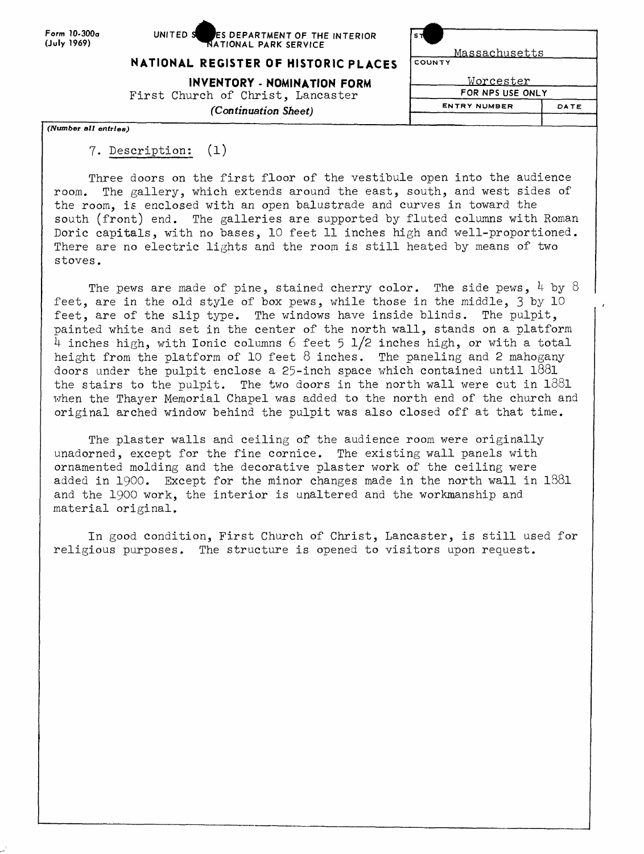**Form 10-300a (July 1969)**



| is T |               |
|------|---------------|
|      | Massachusetts |

#### **NATIONAL REGISTER OF HISTORIC PLACES COUNTY**

**INVENTORY - NOMINATION FORM** First Church of Christ, Lancaster *(Continuation Sheet)*

Worcester **FOR NPS USE ONLY**

**ENTRY NUMBER**

DATE

*(Number all entries)*

# 7. Description: (l)

Three doors on the first floor of the vestibule open into the audience room. The gallery, which extends around the east, south, and west sides of the room, is enclosed with an open balustrade and curves in toward the south (front) end. The galleries are supported by fluted columns with Roman Doric capitals, with no bases, 10 feet 11 inches high and well-proportioned. There are no electric lights and the room is still heated by means of two stoves.

The pews are made of pine, stained cherry color. The side pews,  $4$  by 8 feet, are in the old style of box pews, while those in the middle, 3 by 10 feet, are of the slip type. The windows have inside blinds. The pulpit, painted white and set in the center of the north wall, stands on a platform 4 inches high, with Ionic columns 6 feet 5 1/2 inches high, or with a total height from the platform of 10 feet  $8$  inches. The paneling and 2 mahogany doors under the pulpit enclose a 25-inch space which contained until 1881 the stairs to the pulpit. The two doors in the north wall were cut in  $1881$ when the Thayer Memorial Chapel was added to the north end of the church and original arched window behind the pulpit was also closed off at that time.

The plaster walls and ceiling of the audience room were originally unadorned, except for the fine cornice. The existing wall panels with ornamented molding and the decorative plaster work of the ceiling were added in 1900. Except for the minor changes made in the north wall in 1881 and the 1900 work, the interior is unaltered and the workmanship and material original.

In good condition, First Church of Christ, Lancaster, is still used for religious purposes. The structure is opened to visitors upon request.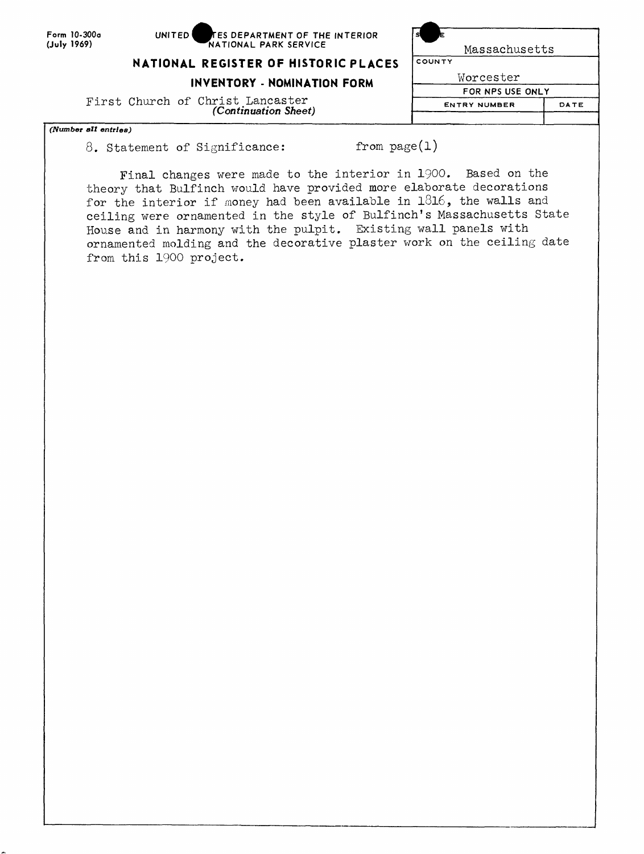Form 10-300a **(July 1969)**

| s                   |      |
|---------------------|------|
| Massachusetts       |      |
| COUNTY              |      |
| Worcester           |      |
| FOR NPS USE ONLY    |      |
| <b>ENTRY NUMBER</b> | DATE |
|                     |      |
|                     |      |

**NATIONAL REGISTER OF HISTORIC PLACES** 

**INVENTORY - NOMINATION FORM**

First Church of Christ Lancaster *(Continuation Sheet)*

### *(Number all entries)*

8. Statement of Significance: from page(1)

Final changes were made to the interior in 1900. Based on the theory that Bulfinch would have provided more elaborate decorations for the interior if money had been available in  $1816$ , the walls and ceiling were ornamented in the style of Bulfinch's Massachusetts State House and in harmony with the pulpit. Existing wall panels with ornamented molding and the decorative plaster work on the ceiling date from this 1900 project.